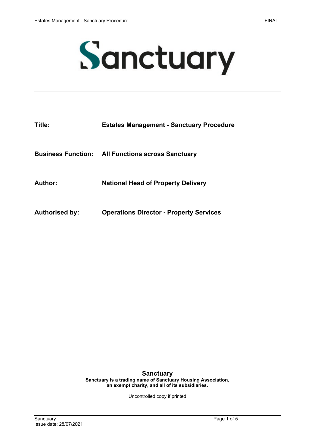

| Title:                    | <b>Estates Management - Sanctuary Procedure</b> |
|---------------------------|-------------------------------------------------|
| <b>Business Function:</b> | <b>All Functions across Sanctuary</b>           |
| Author:                   | <b>National Head of Property Delivery</b>       |
| <b>Authorised by:</b>     | <b>Operations Director - Property Services</b>  |

#### **Sanctuary**

**Sanctuary is a trading name of Sanctuary Housing Association, an exempt charity, and all of its subsidiaries.** 

Uncontrolled copy if printed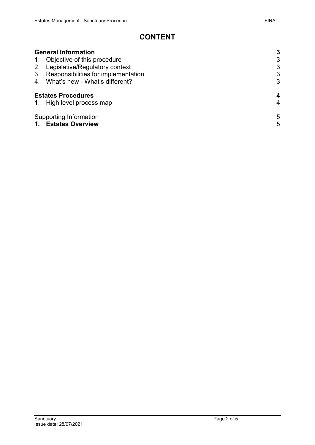# **CONTENT**

| <b>General Information</b>                                          | 3      |
|---------------------------------------------------------------------|--------|
| 1. Objective of this procedure                                      | 3      |
| 2. Legislative/Regulatory context                                   | 3      |
| 3. Responsibilities for implementation                              | 3      |
| 4. What's new - What's different?                                   | 3      |
| <b>Estates Procedures</b>                                           | 4      |
| 1. High level process map                                           | 4      |
| Supporting Information<br><b>Estates Overview</b><br>$\mathbf{1}$ . | 5<br>5 |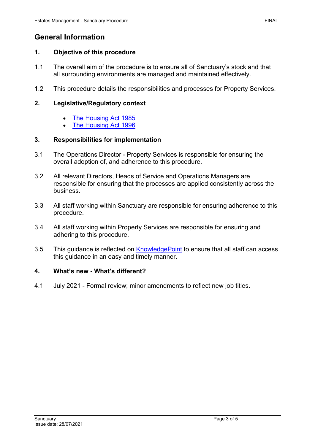## <span id="page-2-0"></span>**General Information**

#### <span id="page-2-1"></span>**1. Objective of this procedure**

- 1.1 The overall aim of the procedure is to ensure all of Sanctuary's stock and that all surrounding environments are managed and maintained effectively.
- 1.2 This procedure details the responsibilities and processes for Property Services.

#### <span id="page-2-2"></span>**2. Legislative/Regulatory context**

- [The Housing Act 1985](http://www.legislation.gov.uk/ukpga/1985/68/contents)
- [The Housing Act 1996](http://www.legislation.gov.uk/ukpga/1996/52/contents)

#### <span id="page-2-3"></span>**3. Responsibilities for implementation**

- 3.1 The Operations Director Property Services is responsible for ensuring the overall adoption of, and adherence to this procedure.
- 3.2 All relevant Directors, Heads of Service and Operations Managers are responsible for ensuring that the processes are applied consistently across the business.
- 3.3 All staff working within Sanctuary are responsible for ensuring adherence to this procedure.
- 3.4 All staff working within Property Services are responsible for ensuring and adhering to this procedure.
- 3.5 This guidance is reflected on **KnowledgePoint** to ensure that all staff can access this guidance in an easy and timely manner.

#### <span id="page-2-4"></span>**4. What's new - What's different?**

4.1 July 2021 - Formal review; minor amendments to reflect new job titles.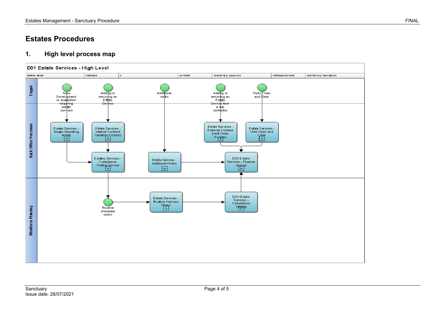# **Estates Procedures**

### **1. High level process map**

<span id="page-3-1"></span><span id="page-3-0"></span>